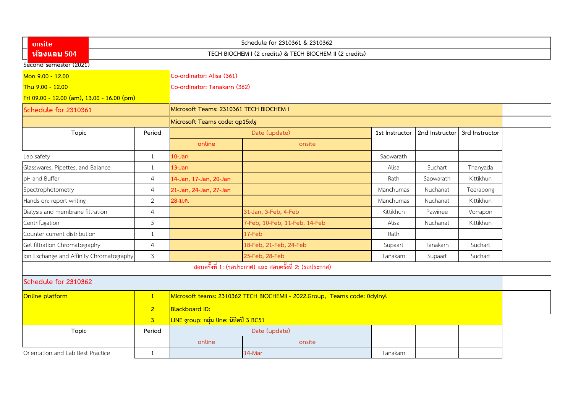| onsite                                     |                                                          |                                                                           | Schedule for 2310361 & 2310362                            |                |                |                |  |  |  |
|--------------------------------------------|----------------------------------------------------------|---------------------------------------------------------------------------|-----------------------------------------------------------|----------------|----------------|----------------|--|--|--|
| ห้องแลบ 504                                | TECH BIOCHEM I (2 credits) & TECH BIOCHEM II (2 credits) |                                                                           |                                                           |                |                |                |  |  |  |
| Second semester (2021)                     |                                                          |                                                                           |                                                           |                |                |                |  |  |  |
| Mon 9.00 - 12.00                           |                                                          | Co-ordinator: Alisa (361)                                                 |                                                           |                |                |                |  |  |  |
| Thu 9.00 - 12.00                           |                                                          | Co-ordinator: Tanakarn (362)                                              |                                                           |                |                |                |  |  |  |
| Fri 09.00 - 12.00 (am), 13.00 - 16.00 (pm) |                                                          |                                                                           |                                                           |                |                |                |  |  |  |
| Schedule for 2310361                       |                                                          | Microsoft Teams: 2310361 TECH BIOCHEM I                                   |                                                           |                |                |                |  |  |  |
|                                            |                                                          | Microsoft Teams code: qp15xlg                                             |                                                           |                |                |                |  |  |  |
| Topic                                      | Period                                                   | Date (update)                                                             |                                                           | 1st Instructor | 2nd Instructor | 3rd Instructor |  |  |  |
|                                            |                                                          | online                                                                    | onsite                                                    |                |                |                |  |  |  |
| Lab safety                                 | $\mathbf{1}$                                             | $10 - Jan$                                                                |                                                           | Saowarath      |                |                |  |  |  |
| Glasswares, Pipettes, and Balance          | $\mathbf{1}$                                             | 13-Jan                                                                    |                                                           | Alisa          | Suchart        | Thanyada       |  |  |  |
| pH and Buffer                              | $\overline{4}$                                           | 14-Jan, 17-Jan, 20-Jan                                                    |                                                           | Rath           | Saowarath      | Kittikhun      |  |  |  |
| Spectrophotometry                          | $\overline{4}$                                           | 21-Jan, 24-Jan, 27-Jan                                                    |                                                           | Manchumas      | Nuchanat       | Teerapong      |  |  |  |
| Hands on: report writing                   | $\overline{2}$                                           | 28-ม.ค.                                                                   |                                                           | Manchumas      | Nuchanat       | Kittikhun      |  |  |  |
| Dialysis and membrane filtration           | $\overline{4}$                                           |                                                                           | 31-Jan, 3-Feb, 4-Feb                                      | Kittikhun      | Pawinee        | Vorrapon       |  |  |  |
| Centrifugation                             | 5                                                        |                                                                           | 7-Feb, 10-Feb, 11-Feb, 14-Feb                             | Alisa          | Nuchanat       | Kittikhun      |  |  |  |
| Counter current distribution               | $\mathbf{1}$                                             |                                                                           | 17-Feb                                                    | Rath           |                |                |  |  |  |
| Gel filtration Chromatography              | $\overline{4}$                                           |                                                                           | 18-Feb, 21-Feb, 24-Feb                                    | Supaart        | Tanakarn       | Suchart        |  |  |  |
| Ion Exchange and Affinity Chromatography   | $\mathfrak{Z}$                                           |                                                                           | 25-Feb, 28-Feb                                            | Tanakarn       | Supaart        | Suchart        |  |  |  |
|                                            |                                                          |                                                                           | ี สอบครั้งที่ 1: (รอประกาศ) และ สอบครั้งที่ 2: (รอประกาศ) |                |                |                |  |  |  |
| Schedule for 2310362                       |                                                          |                                                                           |                                                           |                |                |                |  |  |  |
| Online platform                            | $\vert$ 1                                                | Microsoft teams: 2310362 TECH BIOCHEMII - 2022.Group, Teams code: 0dyinyl |                                                           |                |                |                |  |  |  |
|                                            | $\overline{2}$                                           | <b>Blackboard ID:</b>                                                     |                                                           |                |                |                |  |  |  |
|                                            | 3 <sup>1</sup>                                           | ้ <mark>LINE group: กลุ่ม line: นิสิตปี 3 BC51</mark>                     |                                                           |                |                |                |  |  |  |
| Topic                                      | Period                                                   |                                                                           | Date (update)                                             |                |                |                |  |  |  |
|                                            |                                                          | online                                                                    | onsite                                                    |                |                |                |  |  |  |
| Orientation and Lab Best Practice          | 1                                                        |                                                                           | 14-Mar                                                    | Tanakarn       |                |                |  |  |  |